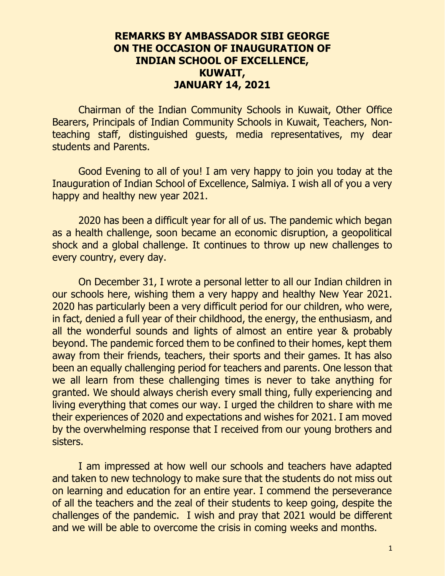## **REMARKS BY AMBASSADOR SIBI GEORGE ON THE OCCASION OF INAUGURATION OF INDIAN SCHOOL OF EXCELLENCE, KUWAIT, JANUARY 14, 2021**

Chairman of the Indian Community Schools in Kuwait, Other Office Bearers, Principals of Indian Community Schools in Kuwait, Teachers, Nonteaching staff, distinguished guests, media representatives, my dear students and Parents.

Good Evening to all of you! I am very happy to join you today at the Inauguration of Indian School of Excellence, Salmiya. I wish all of you a very happy and healthy new year 2021.

2020 has been a difficult year for all of us. The pandemic which began as a health challenge, soon became an economic disruption, a geopolitical shock and a global challenge. It continues to throw up new challenges to every country, every day.

On December 31, I wrote a personal letter to all our Indian children in our schools here, wishing them a very happy and healthy New Year 2021. 2020 has particularly been a very difficult period for our children, who were, in fact, denied a full year of their childhood, the energy, the enthusiasm, and all the wonderful sounds and lights of almost an entire year & probably beyond. The pandemic forced them to be confined to their homes, kept them away from their friends, teachers, their sports and their games. It has also been an equally challenging period for teachers and parents. One lesson that we all learn from these challenging times is never to take anything for granted. We should always cherish every small thing, fully experiencing and living everything that comes our way. I urged the children to share with me their experiences of 2020 and expectations and wishes for 2021. I am moved by the overwhelming response that I received from our young brothers and sisters.

I am impressed at how well our schools and teachers have adapted and taken to new technology to make sure that the students do not miss out on learning and education for an entire year. I commend the perseverance of all the teachers and the zeal of their students to keep going, despite the challenges of the pandemic. I wish and pray that 2021 would be different and we will be able to overcome the crisis in coming weeks and months.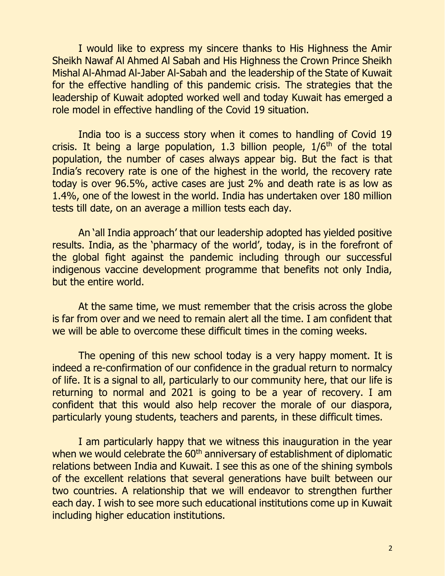I would like to express my sincere thanks to His Highness the Amir Sheikh Nawaf Al Ahmed Al Sabah and His Highness the Crown Prince Sheikh Mishal Al-Ahmad Al-Jaber Al-Sabah and the leadership of the State of Kuwait for the effective handling of this pandemic crisis. The strategies that the leadership of Kuwait adopted worked well and today Kuwait has emerged a role model in effective handling of the Covid 19 situation.

India too is a success story when it comes to handling of Covid 19 crisis. It being a large population, 1.3 billion people,  $1/6<sup>th</sup>$  of the total population, the number of cases always appear big. But the fact is that India's recovery rate is one of the highest in the world, the recovery rate today is over 96.5%, active cases are just 2% and death rate is as low as 1.4%, one of the lowest in the world. India has undertaken over 180 million tests till date, on an average a million tests each day.

An 'all India approach' that our leadership adopted has yielded positive results. India, as the 'pharmacy of the world', today, is in the forefront of the global fight against the pandemic including through our successful indigenous vaccine development programme that benefits not only India, but the entire world.

At the same time, we must remember that the crisis across the globe is far from over and we need to remain alert all the time. I am confident that we will be able to overcome these difficult times in the coming weeks.

The opening of this new school today is a very happy moment. It is indeed a re-confirmation of our confidence in the gradual return to normalcy of life. It is a signal to all, particularly to our community here, that our life is returning to normal and 2021 is going to be a year of recovery. I am confident that this would also help recover the morale of our diaspora, particularly young students, teachers and parents, in these difficult times.

I am particularly happy that we witness this inauguration in the year when we would celebrate the 60<sup>th</sup> anniversary of establishment of diplomatic relations between India and Kuwait. I see this as one of the shining symbols of the excellent relations that several generations have built between our two countries. A relationship that we will endeavor to strengthen further each day. I wish to see more such educational institutions come up in Kuwait including higher education institutions.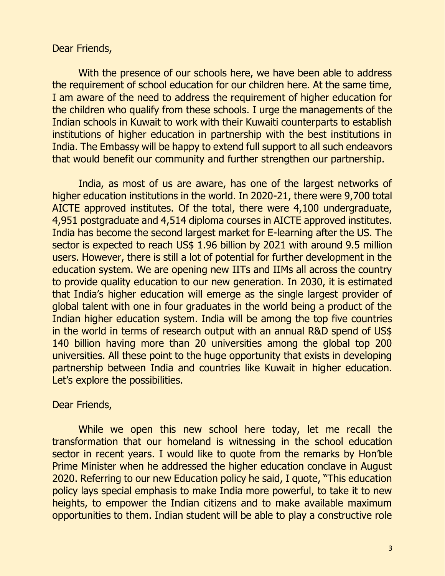## Dear Friends,

With the presence of our schools here, we have been able to address the requirement of school education for our children here. At the same time, I am aware of the need to address the requirement of higher education for the children who qualify from these schools. I urge the managements of the Indian schools in Kuwait to work with their Kuwaiti counterparts to establish institutions of higher education in partnership with the best institutions in India. The Embassy will be happy to extend full support to all such endeavors that would benefit our community and further strengthen our partnership.

India, as most of us are aware, has one of the largest networks of higher education institutions in the world. In 2020-21, there were 9,700 total AICTE approved institutes. Of the total, there were 4,100 undergraduate, 4,951 postgraduate and 4,514 diploma courses in AICTE approved institutes. India has become the second largest market for E-learning after the US. The sector is expected to reach US\$ 1.96 billion by 2021 with around 9.5 million users. However, there is still a lot of potential for further development in the education system. We are opening new IITs and IIMs all across the country to provide quality education to our new generation. In 2030, it is estimated that India's higher education will emerge as the single largest provider of global talent with one in four graduates in the world being a product of the Indian higher education system. India will be among the top five countries in the world in terms of research output with an annual R&D spend of US\$ 140 billion having more than 20 universities among the global top 200 universities. All these point to the huge opportunity that exists in developing partnership between India and countries like Kuwait in higher education. Let's explore the possibilities.

## Dear Friends,

While we open this new school here today, let me recall the transformation that our homeland is witnessing in the school education sector in recent years. I would like to quote from the remarks by Hon'ble Prime Minister when he addressed the higher education conclave in August 2020. Referring to our new Education policy he said, I quote, "This education policy lays special emphasis to make India more powerful, to take it to new heights, to empower the Indian citizens and to make available maximum opportunities to them. Indian student will be able to play a constructive role